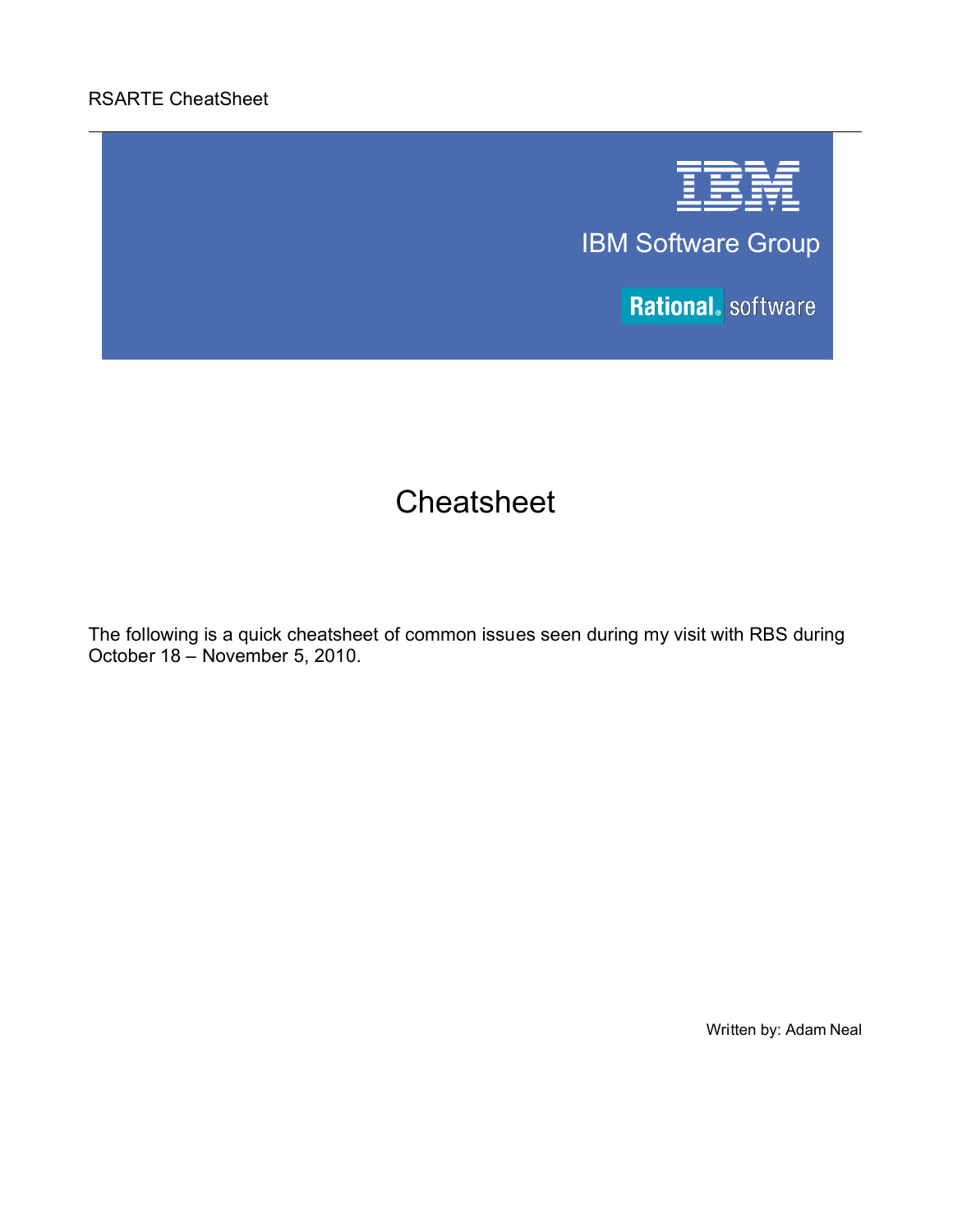## RSARTE CheatSheet



IBM Software Group

**Rational.** software

# **Cheatsheet**

The following is a quick cheatsheet of common issues seen during my visit with RBS during October 18 – November 5, 2010.

Written by: Adam Neal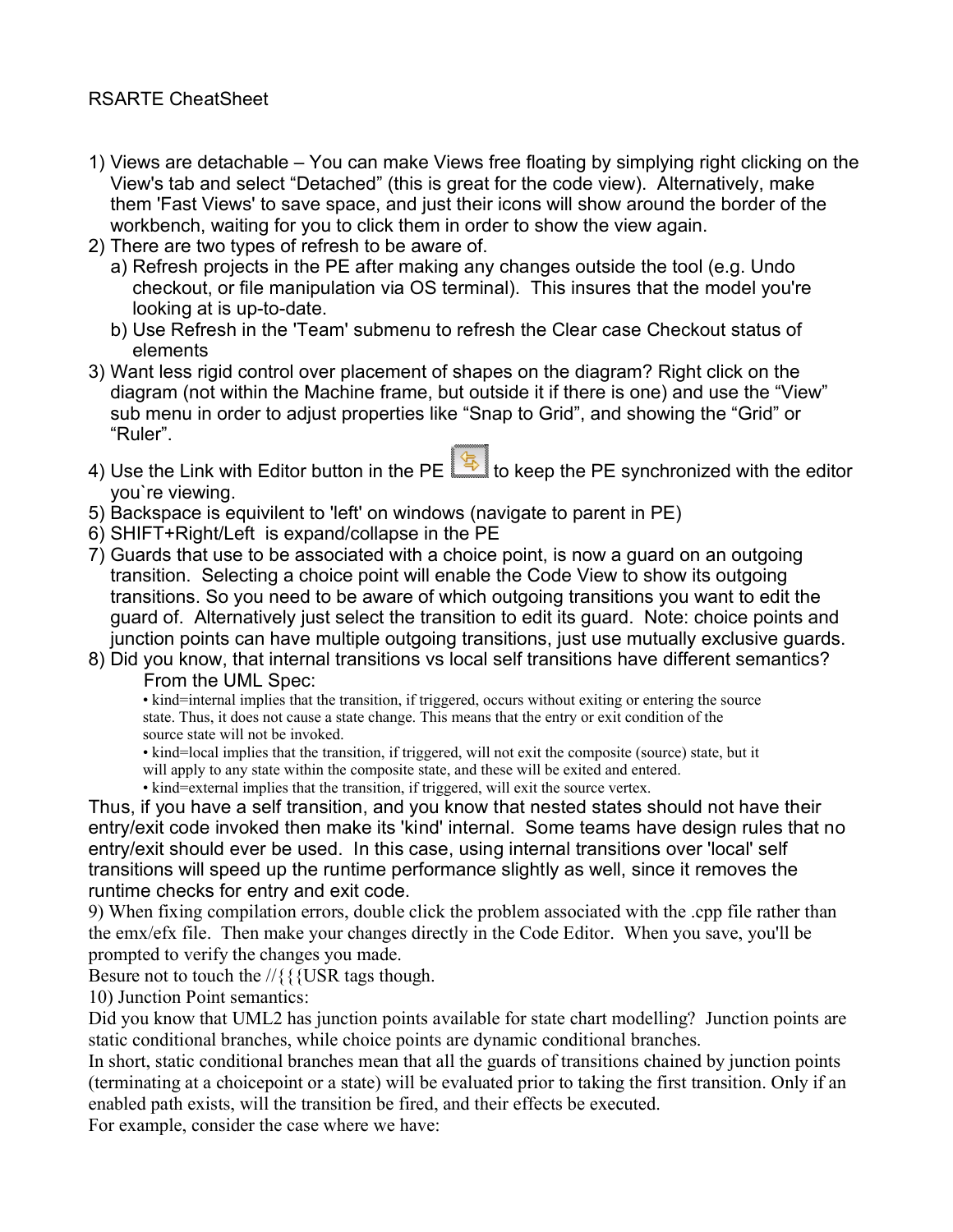- 1) Views are detachable You can make Views free floating by simplying right clicking on the View's tab and select "Detached" (this is great for the code view). Alternatively, make them 'Fast Views' to save space, and just their icons will show around the border of the workbench, waiting for you to click them in order to show the view again.
- 2) There are two types of refresh to be aware of.
	- a) Refresh projects in the PE after making any changes outside the tool (e.g. Undo checkout, or file manipulation via OS terminal). This insures that the model you're looking at is up-to-date.
	- b) Use Refresh in the 'Team' submenu to refresh the Clear case Checkout status of elements
- 3) Want less rigid control over placement of shapes on the diagram? Right click on the diagram (not within the Machine frame, but outside it if there is one) and use the "View" sub menu in order to adjust properties like "Snap to Grid", and showing the "Grid" or "Ruler".
- 4) Use the Link with Editor button in the PE  $\Box$  to keep the PE synchronized with the editor you`re viewing.
- 5) Backspace is equivilent to 'left' on windows (navigate to parent in PE)
- 6) SHIFT+Right/Left is expand/collapse in the PE
- 7) Guards that use to be associated with a choice point, is now a guard on an outgoing transition. Selecting a choice point will enable the Code View to show its outgoing transitions. So you need to be aware of which outgoing transitions you want to edit the guard of. Alternatively just select the transition to edit its guard. Note: choice points and junction points can have multiple outgoing transitions, just use mutually exclusive guards.
- 8) Did you know, that internal transitions vs local self transitions have different semantics? From the UML Spec:

• kind=internal implies that the transition, if triggered, occurs without exiting or entering the source state. Thus, it does not cause a state change. This means that the entry or exit condition of the source state will not be invoked.

• kind=local implies that the transition, if triggered, will not exit the composite (source) state, but it

will apply to any state within the composite state, and these will be exited and entered.

• kind=external implies that the transition, if triggered, will exit the source vertex.

Thus, if you have a self transition, and you know that nested states should not have their entry/exit code invoked then make its 'kind' internal. Some teams have design rules that no entry/exit should ever be used. In this case, using internal transitions over 'local' self transitions will speed up the runtime performance slightly as well, since it removes the runtime checks for entry and exit code.

9) When fixing compilation errors, double click the problem associated with the .cpp file rather than the emx/efx file. Then make your changes directly in the Code Editor. When you save, you'll be prompted to verify the changes you made.

Besure not to touch the //{{{USR tags though.

10) Junction Point semantics:

Did you know that UML2 has junction points available for state chart modelling? Junction points are static conditional branches, while choice points are dynamic conditional branches.

In short, static conditional branches mean that all the guards of transitions chained by junction points (terminating at a choicepoint or a state) will be evaluated prior to taking the first transition. Only if an enabled path exists, will the transition be fired, and their effects be executed.

For example, consider the case where we have: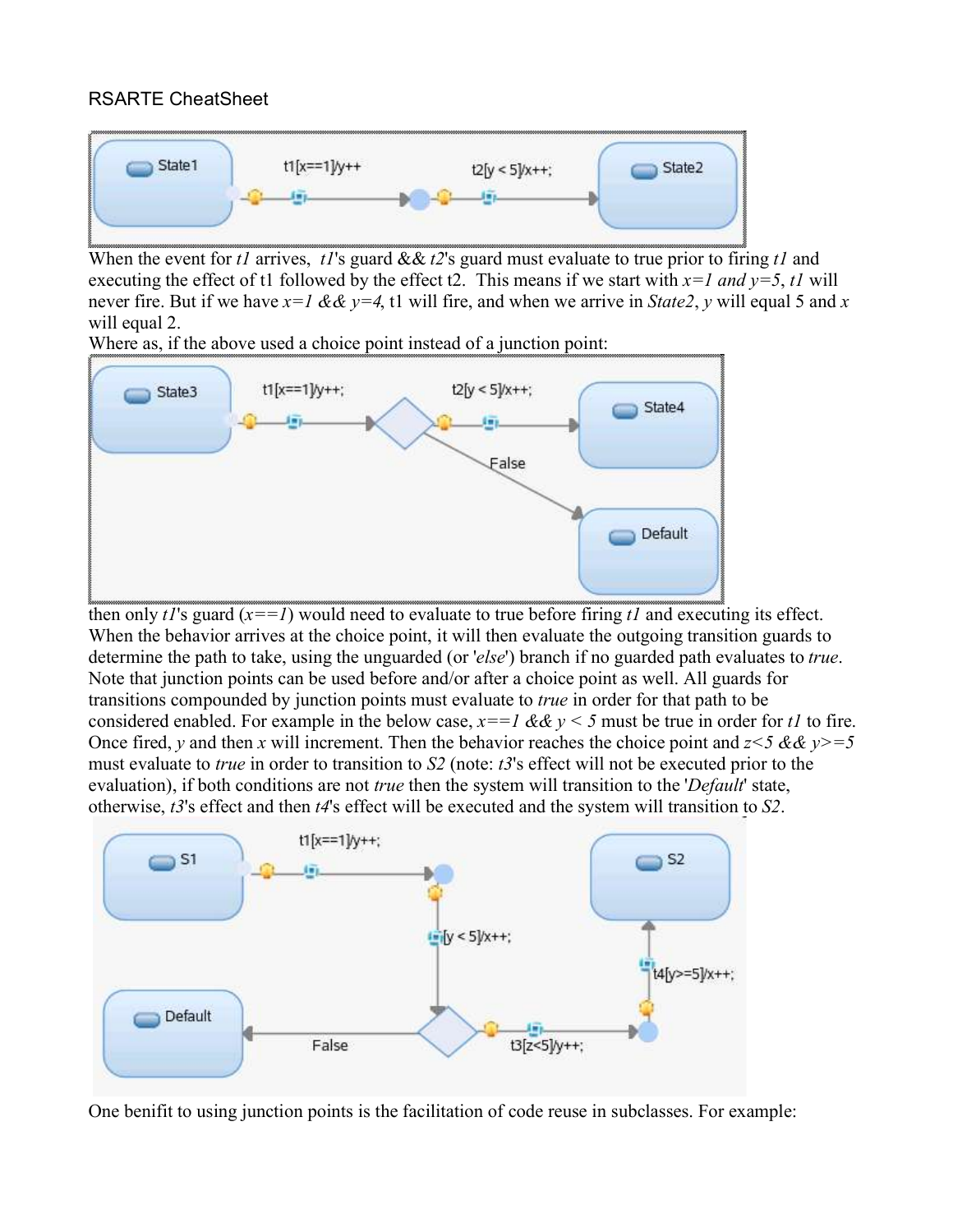### RSARTE CheatSheet



When the event for *t1* arrives, *t1*'s guard && *t2*'s guard must evaluate to true prior to firing *t1* and executing the effect of t1 followed by the effect t2. This means if we start with  $x=1$  and  $y=5$ ,  $t1$  will never fire. But if we have *x=1 && y=4*, t1 will fire, and when we arrive in *State2*, *y* will equal 5 and *x* will equal 2.

Where as, if the above used a choice point instead of a junction point:



then only  $tI$ 's guard  $(x=-I)$  would need to evaluate to true before firing  $tI$  and executing its effect. When the behavior arrives at the choice point, it will then evaluate the outgoing transition guards to determine the path to take, using the unguarded (or '*else*') branch if no guarded path evaluates to *true*. Note that junction points can be used before and/or after a choice point as well. All guards for transitions compounded by junction points must evaluate to *true* in order for that path to be considered enabled. For example in the below case,  $x=-1 \&& y \< 5$  must be true in order for *t1* to fire. Once fired, *y* and then *x* will increment. Then the behavior reaches the choice point and  $z < 5 \& \& y \geq 5$ must evaluate to *true* in order to transition to *S2* (note: *t3*'s effect will not be executed prior to the evaluation), if both conditions are not *true* then the system will transition to the '*Default*' state, otherwise, *t3*'s effect and then *t4*'s effect will be executed and the system will transition to *S2*.



One benifit to using junction points is the facilitation of code reuse in subclasses. For example: